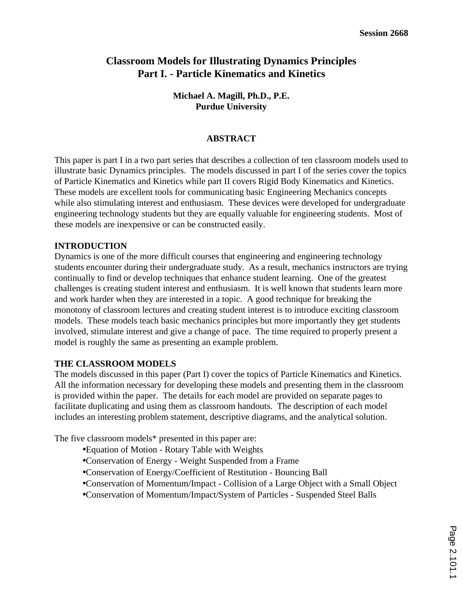# **Classroom Models for Illustrating Dynamics Principles Part I. - Particle Kinematics and Kinetics**

**Michael A. Magill, Ph.D., P.E. Purdue University**

#### **ABSTRACT**

This paper is part I in a two part series that describes a collection of ten classroom models used to illustrate basic Dynamics principles. The models discussed in part I of the series cover the topics of Particle Kinematics and Kinetics while part II covers Rigid Body Kinematics and Kinetics. These models are excellent tools for communicating basic Engineering Mechanics concepts while also stimulating interest and enthusiasm. These devices were developed for undergraduate engineering technology students but they are equally valuable for engineering students. Most of these models are inexpensive or can be constructed easily.

#### **INTRODUCTION**

Dynamics is one of the more difficult courses that engineering and engineering technology students encounter during their undergraduate study. As a result, mechanics instructors are trying continually to find or develop techniques that enhance student learning. One of the greatest challenges is creating student interest and enthusiasm. It is well known that students learn more and work harder when they are interested in a topic. A good technique for breaking the monotony of classroom lectures and creating student interest is to introduce exciting classroom models. These models teach basic mechanics principles but more importantly they get students involved, stimulate interest and give a change of pace. The time required to properly present a model is roughly the same as presenting an example problem.

#### **THE CLASSROOM MODELS**

The models discussed in this paper (Part I) cover the topics of Particle Kinematics and Kinetics. All the information necessary for developing these models and presenting them in the classroom is provided within the paper. The details for each model are provided on separate pages to facilitate duplicating and using them as classroom handouts. The description of each model includes an interesting problem statement, descriptive diagrams, and the analytical solution.

The five classroom models\* presented in this paper are:

- Equation of Motion Rotary Table with Weights
- Conservation of Energy Weight Suspended from a Frame
- Conservation of Energy/Coefficient of Restitution Bouncing Ball
- Conservation of Momentum/Impact Collision of a Large Object with a Small Object
- Conservation of Momentum/Impact/System of Particles Suspended Steel Balls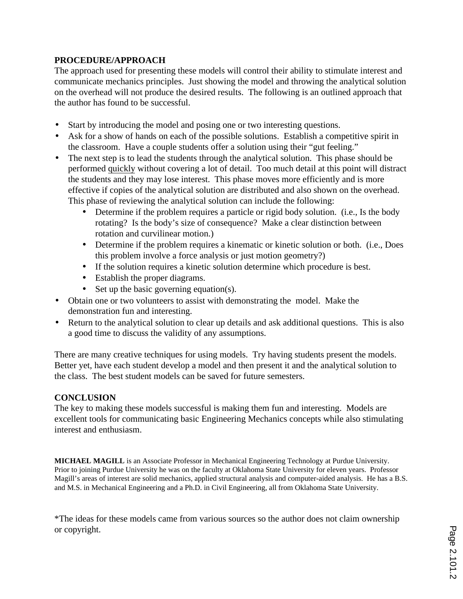# **PROCEDURE/APPROACH**

The approach used for presenting these models will control their ability to stimulate interest and communicate mechanics principles. Just showing the model and throwing the analytical solution on the overhead will not produce the desired results. The following is an outlined approach that the author has found to be successful.

- Start by introducing the model and posing one or two interesting questions.
- Ask for a show of hands on each of the possible solutions. Establish a competitive spirit in the classroom. Have a couple students offer a solution using their "gut feeling."
- The next step is to lead the students through the analytical solution. This phase should be performed quickly without covering a lot of detail. Too much detail at this point will distract the students and they may lose interest. This phase moves more efficiently and is more effective if copies of the analytical solution are distributed and also shown on the overhead. This phase of reviewing the analytical solution can include the following:
	- Determine if the problem requires a particle or rigid body solution. (i.e., Is the body rotating? Is the body's size of consequence? Make a clear distinction between rotation and curvilinear motion.)
	- Determine if the problem requires a kinematic or kinetic solution or both. (i.e., Does this problem involve a force analysis or just motion geometry?)
	- If the solution requires a kinetic solution determine which procedure is best.
	- Establish the proper diagrams.
	- Set up the basic governing equation(s).
- Obtain one or two volunteers to assist with demonstrating the model. Make the demonstration fun and interesting.
- Return to the analytical solution to clear up details and ask additional questions. This is also a good time to discuss the validity of any assumptions.

There are many creative techniques for using models. Try having students present the models. Better yet, have each student develop a model and then present it and the analytical solution to the class. The best student models can be saved for future semesters.

# **CONCLUSION**

The key to making these models successful is making them fun and interesting. Models are excellent tools for communicating basic Engineering Mechanics concepts while also stimulating interest and enthusiasm.

**MICHAEL MAGILL** is an Associate Professor in Mechanical Engineering Technology at Purdue University. Prior to joining Purdue University he was on the faculty at Oklahoma State University for eleven years. Professor Magill's areas of interest are solid mechanics, applied structural analysis and computer-aided analysis. He has a B.S. and M.S. in Mechanical Engineering and a Ph.D. in Civil Engineering, all from Oklahoma State University.

\*The ideas for these models came from various sources so the author does not claim ownership or copyright.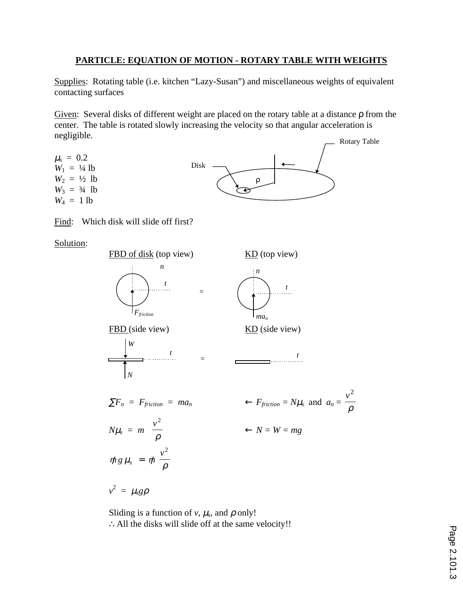# **PARTICLE: EQUATION OF MOTION - ROTARY TABLE WITH WEIGHTS**

Supplies: Rotating table (i.e. kitchen "Lazy-Susan") and miscellaneous weights of equivalent contacting surfaces

Given: Several disks of different weight are placed on the rotary table at a distance ρ from the center. The table is rotated slowly increasing the velocity so that angular acceleration is negligible.



Find: Which disk will slide off first?

Solution:



Sliding is a function of  $v$ ,  $\mu_s$ , and  $\rho$  only! ∴All the disks will slide off at the same velocity!!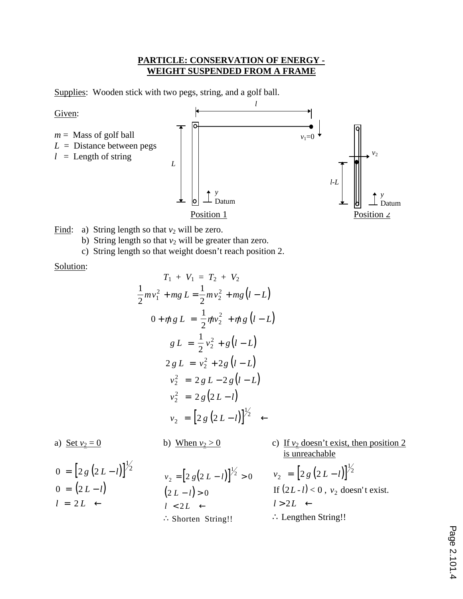### **PARTICLE: CONSERVATION OF ENERGY - WEIGHT SUSPENDED FROM A FRAME**

Supplies: Wooden stick with two pegs, string, and a golf ball.



Find: a) String length so that  $v_2$  will be zero.

b) String length so that  $v_2$  will be greater than zero.

c) String length so that weight doesn't reach position 2.

Solution:

$$
T_1 + V_1 = T_2 + V_2
$$
  
\n
$$
\frac{1}{2}mv_1^2 + mg L = \frac{1}{2}mv_2^2 + mg(l - L)
$$
  
\n
$$
0 + mg L = \frac{1}{2}mv_2^2 + mg(l - L)
$$
  
\n
$$
g L = \frac{1}{2}v_2^2 + g(l - L)
$$
  
\n
$$
2gL = v_2^2 + 2g(l - L)
$$
  
\n
$$
v_2^2 = 2gL - 2g(l - L)
$$
  
\n
$$
v_2^2 = 2g(2L - l)
$$
  
\n
$$
v_2 = [2g(2L - l)]^{1/2} \leftarrow
$$

a) Set  $v_2 = 0$  b) When  $v_2 > 0$  c) If  $v_2$  doesn't exist, then position 2 is unreachable

$$
0 = [2 g (2 L - l)]1/2
$$
  
0 = (2 L - l)  
l = 2 L \leftarrow

$$
v_2 = [2 g(2 L - l)]^{1/2} > 0
$$
  
(2 L - l) > 0  
l < 2L \leftarrow  
\n\therefore Shorten String!!

$$
v_2 = [2 g (2 L - l)]^{1/2}
$$
  
If  $(2L-l) < 0$ ,  $v_2$  doesn't exist.  
 $l > 2L \leftarrow$   
 $\therefore$  Lengthen String!!

Page 2.101.4 Page 2.101.4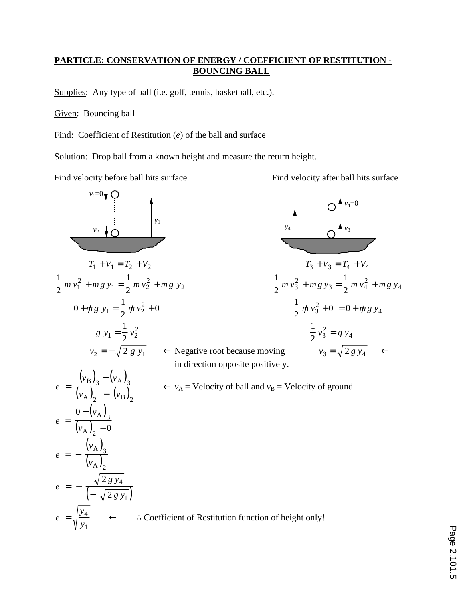# **PARTICLE: CONSERVATION OF ENERGY / COEFFICIENT OF RESTITUTION - BOUNCING BALL**

Supplies: Any type of ball (i.e. golf, tennis, basketball, etc.).

Given: Bouncing ball

Find: Coefficient of Restitution (*e*) of the ball and surface

Solution: Drop ball from a known height and measure the return height.

Find velocity before ball hits surface Find velocity after ball hits surface

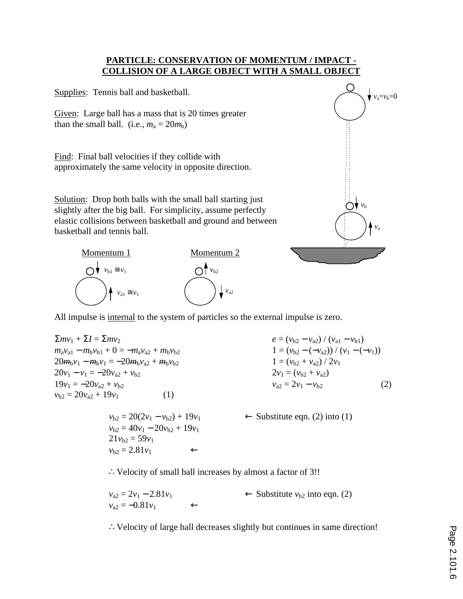### **PARTICLE: CONSERVATION OF MOMENTUM / IMPACT - COLLISION OF A LARGE OBJECT WITH A SMALL OBJECT**

Supplies: Tennis ball and basketball. Given: Large ball has a mass that is 20 times greater than the small ball. (i.e.,  $m_a = 20m_b$ ) Find: Final ball velocities if they collide with approximately the same velocity in opposite direction. Solution: Drop both balls with the small ball starting just slightly after the big ball. For simplicity, assume perfectly elastic collisions between basketball and ground and between basketball and tennis ball. Momentum 1 Momentum 2 *v*a *v*b  $v_a = v_b = 0$  $v_{a1} \cong v_1$  $\bigcap$   $\blacklozenge$  *v*<sub>b1</sub> ≅ *v*<sub>1</sub>  $\int v_{a2}$  $\bigcap$ <sup>1</sup>  $v_{b2}$ 

All impulse is internal to the system of particles so the external impulse is zero.

 $\sum m v_1 + \sum I = \sum m v_2$  *e* = ( $v_{b2} - v_{a2}$ ) / ( $v_{a1} - v_{b1}$ )  $m_a v_{a1} - m_b v_{b1} + 0 = -m_a v_{a2} + m_b v_{b2}$  1 =  $(v_{b2} - (-v_{a2})) / (v_1 - (-v_1))$  $20m_bv_1 - m_bv_1 = -20m_bv_{a2} + m_bv_{b2}$   $1 = (v_{b2} + v_{a2})/2v_1$  $20v_1 - v_1 = -20v_{a2} + v_{b2}$  2*v*<sub>1</sub> = (*v*<sub>b2</sub> + *v*<sub>a2</sub>)  $19v_1 = -20v_{a2} + v_{b2}$  (2)  $v_{b2} = 20v_{a2} + 19v_1$  (1)

> $v_{b2} = 40v_1 - 20v_{b2} + 19v_1$  $21v_{b2} = 59v_1$  $v_{b2} = 2.81v_1$  ←

 $v_{b2} = 20(2v_1 - v_{b2}) + 19v_1$  ← Substitute eqn. (2) into (1)

∴Velocity of small ball increases by almost a factor of 3!!

| $v_{a2} = 2v_1 - 2.81v_1$ |              | $\leftarrow$ Substitute $v_{b2}$ into eqn. (2) |
|---------------------------|--------------|------------------------------------------------|
| $v_{a2} = -0.81v_1$       | $\leftarrow$ |                                                |

∴Velocity of large ball decreases slightly but continues in same direction!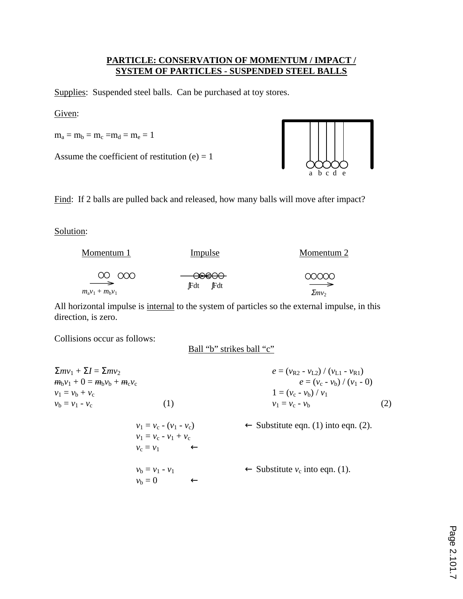# **PARTICLE: CONSERVATION OF MOMENTUM / IMPACT / SYSTEM OF PARTICLES - SUSPENDED STEEL BALLS**

Supplies: Suspended steel balls. Can be purchased at toy stores.

Given:

 $m_a = m_b = m_c = m_d = m_e = 1$ 

Assume the coefficient of restitution  $(e) = 1$ 



Find: If 2 balls are pulled back and released, how many balls will move after impact?

### Solution:

| Momentum 1                | Impulse              | Momentum 2        |  |
|---------------------------|----------------------|-------------------|--|
| 00000                     | <del>- 00000 -</del> | 00000             |  |
| $\overline{\phantom{a}}$  | <b>JFdt</b>          | $\longrightarrow$ |  |
| $m_{a}v_{1} + m_{b}v_{1}$ | <b>Fdt</b>           | $\sum m v_2$      |  |

All horizontal impulse is internal to the system of particles so the external impulse, in this direction, is zero.

Collisions occur as follows:

Ball "b" strikes ball "c"

| $\sum mv_1 + \sum I = \sum mv_2$  |                           | $e = (v_{R2} - v_{L2}) / (v_{L1} - v_{R1})$     |     |
|-----------------------------------|---------------------------|-------------------------------------------------|-----|
| $m_b v_1 + 0 = m_b v_b + m_c v_c$ |                           | $e = (v_c - v_b) / (v_1 - 0)$                   |     |
| $v_1 = v_{\rm h} + v_{\rm c}$     |                           | $1 = (v_c - v_b) / v_1$                         |     |
| $v_{\rm h} = v_1 - v_{\rm c}$     | (1)                       | $v_1 = v_c - v_h$                               | (2) |
|                                   | $v_1 = v_c - (v_1 - v_c)$ | $\leftarrow$ Substitute eqn. (1) into eqn. (2). |     |
|                                   | $v_1 = v_c - v_1 + v_c$   |                                                 |     |
|                                   | $v_c = v_1$ $\leftarrow$  |                                                 |     |
|                                   | $v_{h} = v_{1} - v_{1}$   | $\leftarrow$ Substitute $v_c$ into eqn. (1).    |     |
|                                   | $v_{\rm h}=0$             |                                                 |     |